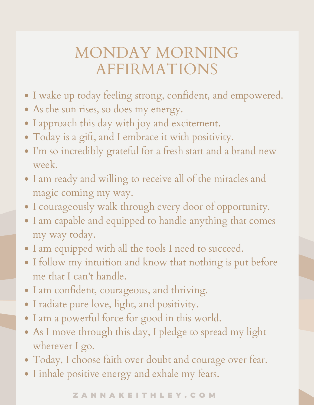## MONDAY MORNING AFFIRMATIONS

- I wake up today feeling strong, confident, and empowered.
- As the sun rises, so does my energy.
- I approach this day with joy and excitement.
- Today is a gift, and I embrace it with positivity.
- I'm so incredibly grateful for a fresh start and a brand new week.
- I am ready and willing to receive all of the miracles and magic coming my way.
- I courageously walk through every door of opportunity.
- I am capable and equipped to handle anything that comes my way today.
- I am equipped with all the tools I need to succeed.
- I follow my intuition and know that nothing is put before me that I can't handle.
- I am confident, courageous, and thriving.
- I radiate pure love, light, and positivity.
- I am a powerful force for good in this world.
- As I move through this day, I pledge to spread my light wherever I go.
- Today, I choose faith over doubt and courage over fear.
- I inhale positive energy and exhale my fears.

Z A N N A K E I T H L E Y . C O M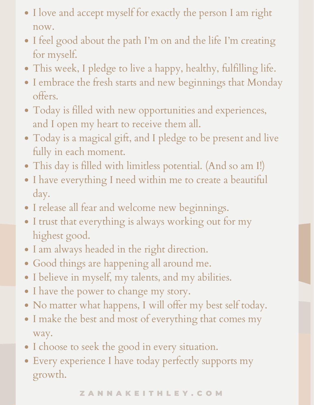- I love and accept myself for exactly the person I am right now.
- I feel good about the path I'm on and the life I'm creating for myself.
- This week, I pledge to live a happy, healthy, fulfilling life.
- I embrace the fresh starts and new beginnings that Monday offers.
- Today is filled with new opportunities and experiences, and I open my heart to receive them all.
- Today is a magical gift, and I pledge to be present and live fully in each moment.
- This day is filled with limitless potential. (And so am I!)
- I have everything I need within me to create a beautiful day.
- I release all fear and welcome new beginnings.
- I trust that everything is always working out for my highest good.
- I am always headed in the right direction.
- Good things are happening all around me.
- I believe in myself, my talents, and my abilities.
- I have the power to change my story.
- No matter what happens, I will offer my best self today.
- I make the best and most of everything that comes my way.
- I choose to seek the good in every situation.
- Every experience I have today perfectly supports my growth.